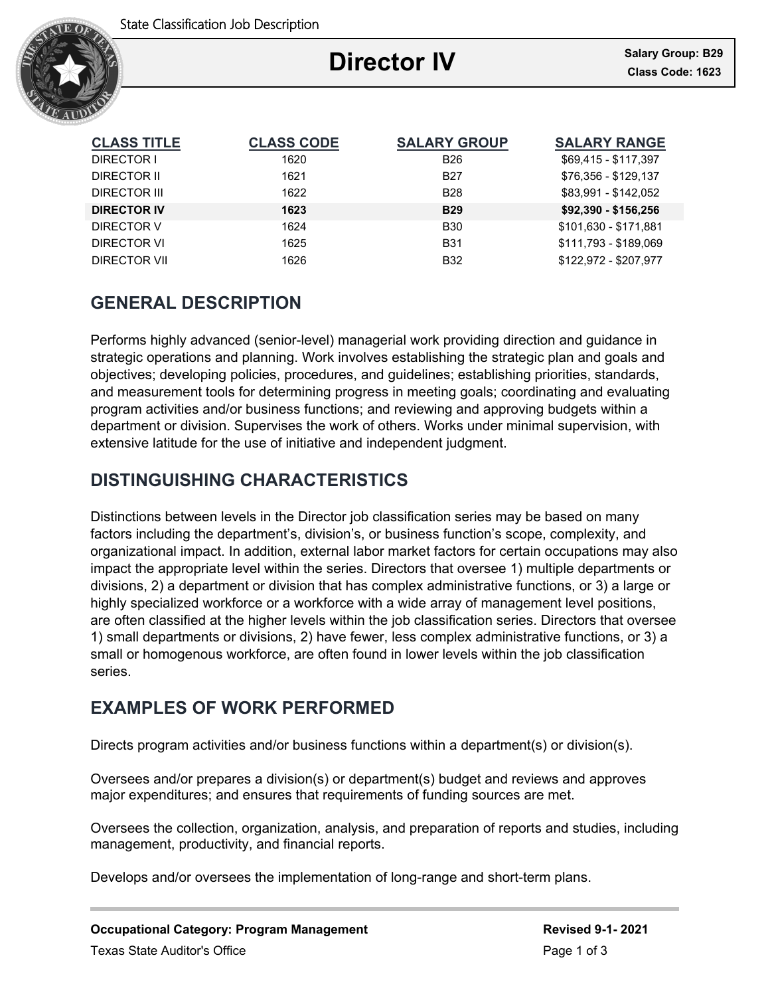

# **Director IV**

Ξ

| <b>CLASS TITLE</b> | <b>CLASS CODE</b> | <b>SALARY GROUP</b> | <b>SALARY RANGE</b>   |
|--------------------|-------------------|---------------------|-----------------------|
| DIRECTOR I         | 1620              | <b>B26</b>          | \$69,415 - \$117,397  |
| DIRECTOR II        | 1621              | <b>B27</b>          | \$76.356 - \$129.137  |
| DIRECTOR III       | 1622              | <b>B28</b>          | \$83,991 - \$142,052  |
| <b>DIRECTOR IV</b> | 1623              | <b>B29</b>          | \$92,390 - \$156,256  |
| DIRECTOR V         | 1624              | <b>B30</b>          | \$101,630 - \$171,881 |
| DIRECTOR VI        | 1625              | <b>B31</b>          | \$111.793 - \$189.069 |
| DIRECTOR VII       | 1626              | <b>B32</b>          | \$122.972 - \$207.977 |

## **GENERAL DESCRIPTION**

Performs highly advanced (senior-level) managerial work providing direction and guidance in strategic operations and planning. Work involves establishing the strategic plan and goals and objectives; developing policies, procedures, and guidelines; establishing priorities, standards, and measurement tools for determining progress in meeting goals; coordinating and evaluating program activities and/or business functions; and reviewing and approving budgets within a department or division. Supervises the work of others. Works under minimal supervision, with extensive latitude for the use of initiative and independent judgment.

### **DISTINGUISHING CHARACTERISTICS**

Distinctions between levels in the Director job classification series may be based on many factors including the department's, division's, or business function's scope, complexity, and organizational impact. In addition, external labor market factors for certain occupations may also impact the appropriate level within the series. Directors that oversee 1) multiple departments or divisions, 2) a department or division that has complex administrative functions, or 3) a large or highly specialized workforce or a workforce with a wide array of management level positions, are often classified at the higher levels within the job classification series. Directors that oversee 1) small departments or divisions, 2) have fewer, less complex administrative functions, or 3) a small or homogenous workforce, are often found in lower levels within the job classification series.

### **EXAMPLES OF WORK PERFORMED**

Directs program activities and/or business functions within a department(s) or division(s).

Oversees and/or prepares a division(s) or department(s) budget and reviews and approves major expenditures; and ensures that requirements of funding sources are met.

Oversees the collection, organization, analysis, and preparation of reports and studies, including management, productivity, and financial reports.

Develops and/or oversees the implementation of long-range and short-term plans.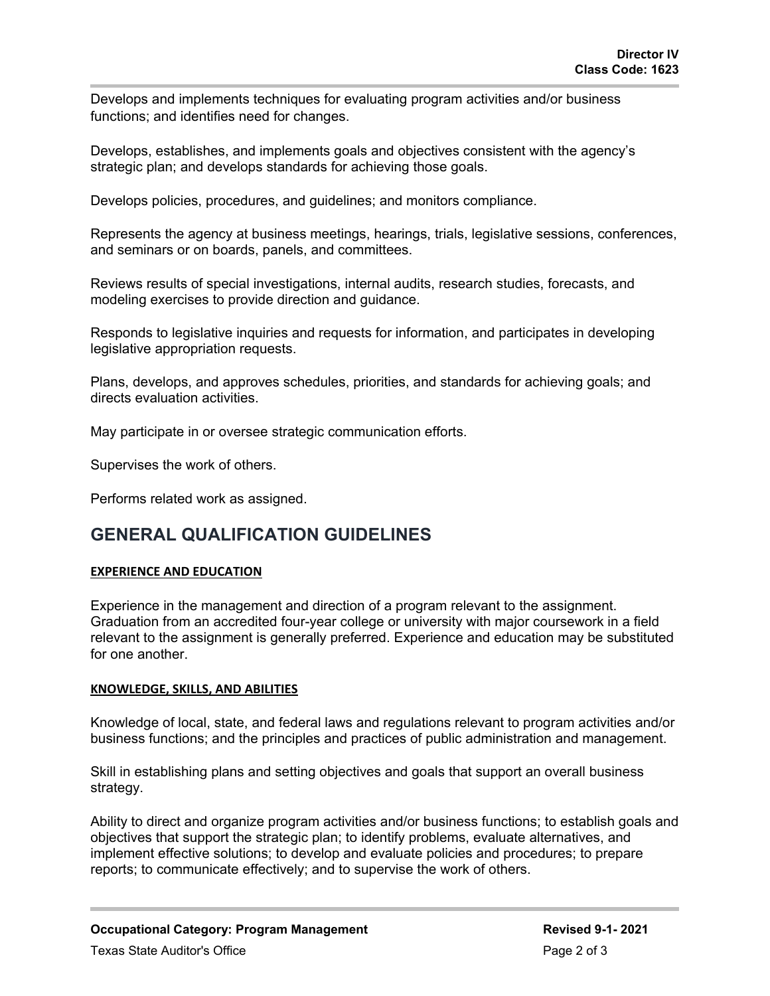Develops and implements techniques for evaluating program activities and/or business functions; and identifies need for changes.

Develops, establishes, and implements goals and objectives consistent with the agency's strategic plan; and develops standards for achieving those goals.

Develops policies, procedures, and guidelines; and monitors compliance.

Represents the agency at business meetings, hearings, trials, legislative sessions, conferences, and seminars or on boards, panels, and committees.

Reviews results of special investigations, internal audits, research studies, forecasts, and modeling exercises to provide direction and guidance.

Responds to legislative inquiries and requests for information, and participates in developing legislative appropriation requests.

Plans, develops, and approves schedules, priorities, and standards for achieving goals; and directs evaluation activities.

May participate in or oversee strategic communication efforts.

Supervises the work of others.

Performs related work as assigned.

### **GENERAL QUALIFICATION GUIDELINES**

#### **EXPERIENCE AND EDUCATION**

Experience in the management and direction of a program relevant to the assignment. Graduation from an accredited four-year college or university with major coursework in a field relevant to the assignment is generally preferred. Experience and education may be substituted for one another.

#### **KNOWLEDGE, SKILLS, AND ABILITIES**

Knowledge of local, state, and federal laws and regulations relevant to program activities and/or business functions; and the principles and practices of public administration and management.

Skill in establishing plans and setting objectives and goals that support an overall business strategy.

Ability to direct and organize program activities and/or business functions; to establish goals and objectives that support the strategic plan; to identify problems, evaluate alternatives, and implement effective solutions; to develop and evaluate policies and procedures; to prepare reports; to communicate effectively; and to supervise the work of others.